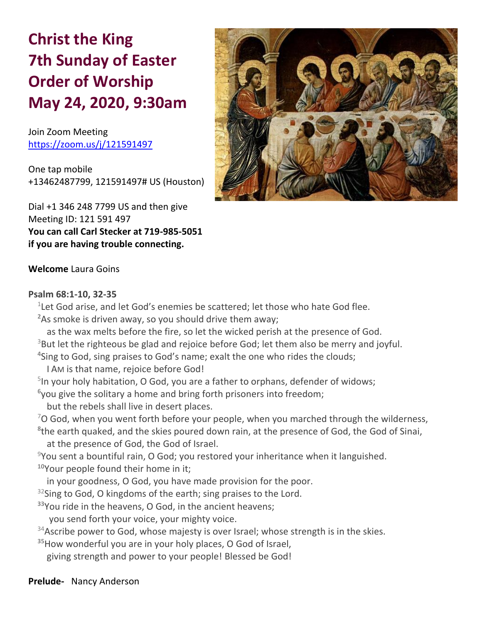# **Christ the King 7th Sunday of Easter Order of Worship May 24, 2020, 9:30am**

Join Zoom Meeting https://zoom.us/j/121591497

One tap mobile +13462487799, 121591497# US (Houston)

Dial +1 346 248 7799 US and then give Meeting ID: 121 591 497 **You can call Carl Stecker at 719-985-5051 if you are having trouble connecting.**



# **Welcome** Laura Goins

#### **Psalm 68:1-10, 32-35**

 $1$ Let God arise, and let God's enemies be scattered; let those who hate God flee. **<sup>2</sup>**As smoke is driven away, so you should drive them away; as the wax melts before the fire, so let the wicked perish at the presence of God. <sup>3</sup>But let the righteous be glad and rejoice before God; let them also be merry and joyful. **4** Sing to God, sing praises to God's name; exalt the one who rides the clouds; I AM is that name, rejoice before God! <sup>5</sup>In your holy habitation, O God, you are a father to orphans, defender of widows; **6** you give the solitary a home and bring forth prisoners into freedom; but the rebels shall live in desert places.  $7$ O God, when you went forth before your people, when you marched through the wilderness, **8** the earth quaked, and the skies poured down rain, at the presence of God, the God of Sinai, at the presence of God, the God of Israel.  $9$ You sent a bountiful rain, O God; you restored your inheritance when it languished. **<sup>10</sup>**Your people found their home in it; in your goodness, O God, you have made provision for the poor. <sup>32</sup>Sing to God, O kingdoms of the earth; sing praises to the Lord. **<sup>33</sup>**You ride in the heavens, O God, in the ancient heavens; you send forth your voice, your mighty voice.  $34$ Ascribe power to God, whose majesty is over Israel; whose strength is in the skies. **<sup>35</sup>**How wonderful you are in your holy places, O God of Israel, giving strength and power to your people! Blessed be God!

**Prelude-** Nancy Anderson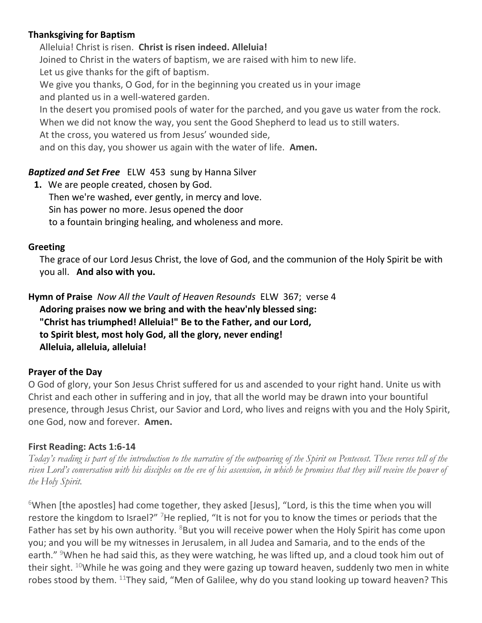# **Thanksgiving for Baptism**

Alleluia! Christ is risen. **Christ is risen indeed. Alleluia!** Joined to Christ in the waters of baptism, we are raised with him to new life. Let us give thanks for the gift of baptism. We give you thanks, O God, for in the beginning you created us in your image and planted us in a well-watered garden. In the desert you promised pools of water for the parched, and you gave us water from the rock. When we did not know the way, you sent the Good Shepherd to lead us to still waters. At the cross, you watered us from Jesus' wounded side, and on this day, you shower us again with the water of life. **Amen.**

# *Baptized and Set Free*ELW 453 sung by Hanna Silver

**1.** We are people created, chosen by God. Then we're washed, ever gently, in mercy and love. Sin has power no more. Jesus opened the door to a fountain bringing healing, and wholeness and more.

## **Greeting**

The grace of our Lord Jesus Christ, the love of God, and the communion of the Holy Spirit be with you all. **And also with you.**

**Hymn of Praise** *Now All the Vault of Heaven Resounds* ELW 367; verse 4 **Adoring praises now we bring and with the heav'nly blessed sing: "Christ has triumphed! Alleluia!" Be to the Father, and our Lord, to Spirit blest, most holy God, all the glory, never ending! Alleluia, alleluia, alleluia!**

## **Prayer of the Day**

O God of glory, your Son Jesus Christ suffered for us and ascended to your right hand. Unite us with Christ and each other in suffering and in joy, that all the world may be drawn into your bountiful presence, through Jesus Christ, our Savior and Lord, who lives and reigns with you and the Holy Spirit, one God, now and forever. **Amen.**

## **First Reading: Acts 1:6-14**

*Today's reading is part of the introduction to the narrative of the outpouring of the Spirit on Pentecost. These verses tell of the risen Lord's conversation with his disciples on the eve of his ascension, in which he promises that they will receive the power of the Holy Spirit.*

 $6$ When [the apostles] had come together, they asked [Jesus], "Lord, is this the time when you will restore the kingdom to Israel?" <sup>7</sup>He replied, "It is not for you to know the times or periods that the Father has set by his own authority.  $8$ But you will receive power when the Holy Spirit has come upon you; and you will be my witnesses in Jerusalem, in all Judea and Samaria, and to the ends of the earth." <sup>9</sup>When he had said this, as they were watching, he was lifted up, and a cloud took him out of their sight.  $10$ While he was going and they were gazing up toward heaven, suddenly two men in white robes stood by them.  $11$ They said, "Men of Galilee, why do you stand looking up toward heaven? This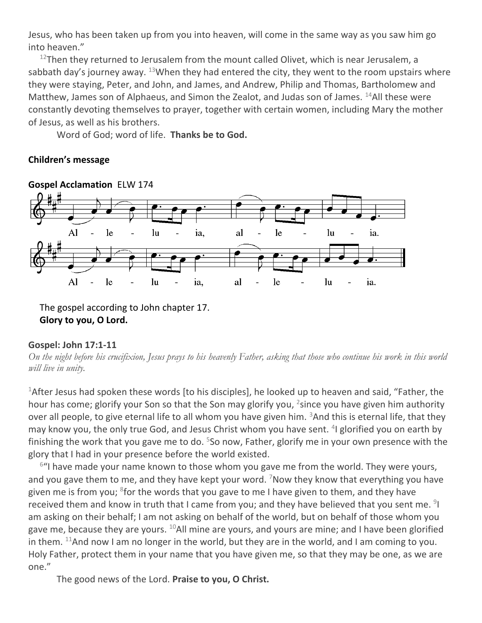Jesus, who has been taken up from you into heaven, will come in the same way as you saw him go into heaven."

 $12$ Then they returned to Jerusalem from the mount called Olivet, which is near Jerusalem, a sabbath day's journey away.  $^{13}$ When they had entered the city, they went to the room upstairs where they were staying, Peter, and John, and James, and Andrew, Philip and Thomas, Bartholomew and Matthew, James son of Alphaeus, and Simon the Zealot, and Judas son of James.  $^{14}$ All these were constantly devoting themselves to prayer, together with certain women, including Mary the mother of Jesus, as well as his brothers.

Word of God; word of life. **Thanks be to God.**

## **Children's message**



The gospel according to John chapter 17.

**Glory to you, O Lord.**

## **Gospel: John 17:1-11**

*On the night before his crucifixion, Jesus prays to his heavenly Father, asking that those who continue his work in this world will live in unity.*

<sup>1</sup>After Jesus had spoken these words [to his disciples], he looked up to heaven and said, "Father, the hour has come; glorify your Son so that the Son may glorify you, <sup>2</sup>since you have given him authority over all people, to give eternal life to all whom you have given him.  $3$ And this is eternal life, that they may know you, the only true God, and Jesus Christ whom you have sent. <sup>4</sup>I glorified you on earth by finishing the work that you gave me to do. <sup>5</sup>So now, Father, glorify me in your own presence with the glory that I had in your presence before the world existed.

<sup>6</sup>"I have made your name known to those whom you gave me from the world. They were yours, and you gave them to me, and they have kept your word. <sup>7</sup>Now they know that everything you have given me is from you; <sup>8</sup>for the words that you gave to me I have given to them, and they have received them and know in truth that I came from you; and they have believed that you sent me. <sup>9</sup>I am asking on their behalf; I am not asking on behalf of the world, but on behalf of those whom you gave me, because they are yours. <sup>10</sup>All mine are yours, and yours are mine; and I have been glorified in them.  $11$ And now I am no longer in the world, but they are in the world, and I am coming to you. Holy Father, protect them in your name that you have given me, so that they may be one, as we are one."

The good news of the Lord. **Praise to you, O Christ.**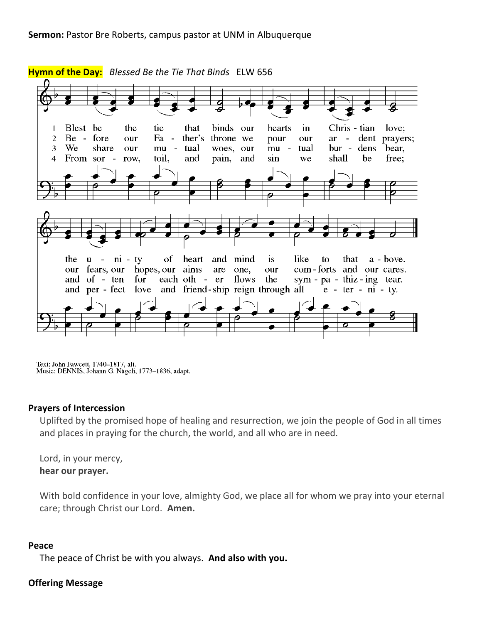

Text: John Fawcett, 1740-1817, alt. Music: DENNIS, Johann G. Nägeli, 1773-1836, adapt.

#### **Prayers of Intercession**

Uplifted by the promised hope of healing and resurrection, we join the people of God in all times and places in praying for the church, the world, and all who are in need.

Lord, in your mercy, **hear our prayer.**

With bold confidence in your love, almighty God, we place all for whom we pray into your eternal care; through Christ our Lord. **Amen.**

#### **Peace**

The peace of Christ be with you always. **And also with you.**

## **Offering Message**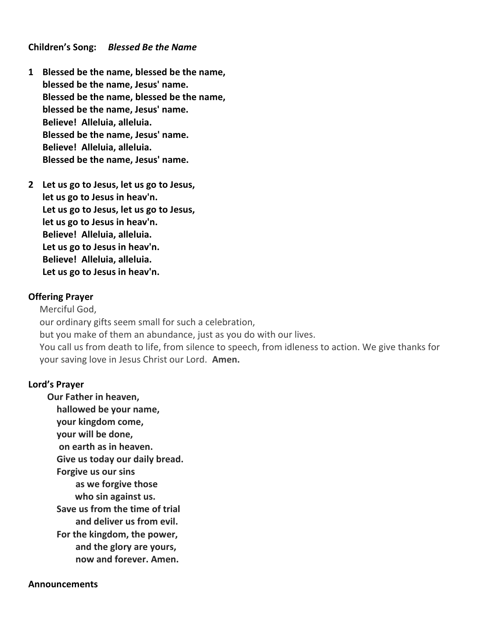#### **Children's Song:** *Blessed Be the Name*

- **1 Blessed be the name, blessed be the name, blessed be the name, Jesus' name. Blessed be the name, blessed be the name, blessed be the name, Jesus' name. Believe! Alleluia, alleluia. Blessed be the name, Jesus' name. Believe! Alleluia, alleluia. Blessed be the name, Jesus' name.**
- **2 Let us go to Jesus, let us go to Jesus, let us go to Jesus in heav'n. Let us go to Jesus, let us go to Jesus, let us go to Jesus in heav'n. Believe! Alleluia, alleluia. Let us go to Jesus in heav'n. Believe! Alleluia, alleluia. Let us go to Jesus in heav'n.**

#### **Offering Prayer**

Merciful God, our ordinary gifts seem small for such a celebration, but you make of them an abundance, just as you do with our lives. You call us from death to life, from silence to speech, from idleness to action. We give thanks for your saving love in Jesus Christ our Lord. **Amen.**

#### **Lord's Prayer**

**Our Father in heaven, hallowed be your name, your kingdom come, your will be done, on earth as in heaven. Give us today our daily bread. Forgive us our sins as we forgive those who sin against us. Save us from the time of trial and deliver us from evil. For the kingdom, the power, and the glory are yours, now and forever. Amen.**

#### **Announcements**